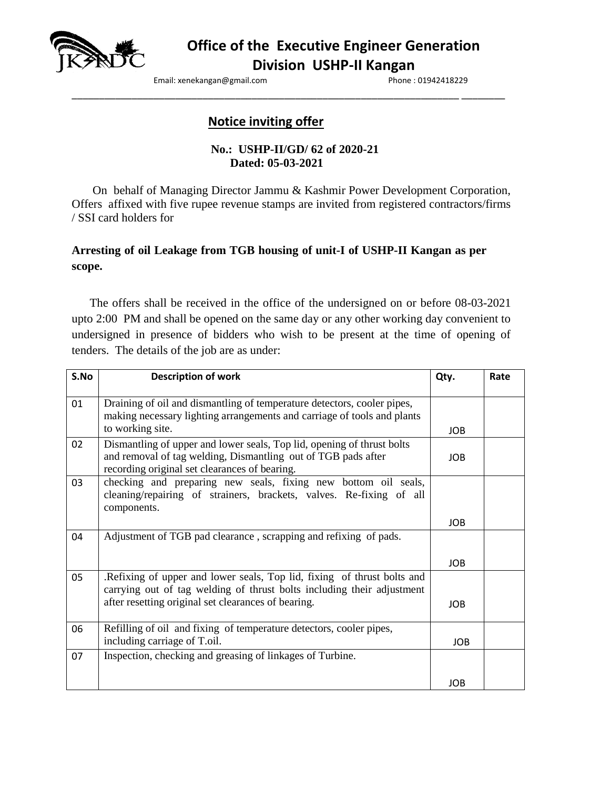

**Office of the Executive Engineer Generation Division USHP-II Kangan**

Email: xenekangan@gmail.com entitled by the phone : 01942418229

# **Notice inviting offer**

### **No.: USHP-II/GD/ 62 of 2020-21 Dated: 05-03-2021**

\_\_\_\_\_\_\_\_\_\_\_\_\_\_\_\_\_\_\_\_\_\_\_\_\_\_\_\_\_\_\_\_\_\_\_\_\_\_\_\_\_\_\_\_\_\_\_\_\_\_\_\_\_\_\_\_\_\_\_\_\_\_\_\_\_\_\_\_\_\_\_ \_\_\_\_\_\_\_\_

On behalf of Managing Director Jammu & Kashmir Power Development Corporation, Offers affixed with five rupee revenue stamps are invited from registered contractors/firms / SSI card holders for

# **Arresting of oil Leakage from TGB housing of unit-I of USHP-II Kangan as per scope.**

 The offers shall be received in the office of the undersigned on or before 08-03-2021 upto 2:00 PM and shall be opened on the same day or any other working day convenient to undersigned in presence of bidders who wish to be present at the time of opening of tenders. The details of the job are as under:

| S.No | <b>Description of work</b>                                                                                                                                                               | Qty.       | Rate |
|------|------------------------------------------------------------------------------------------------------------------------------------------------------------------------------------------|------------|------|
| 01   | Draining of oil and dismantling of temperature detectors, cooler pipes,<br>making necessary lighting arrangements and carriage of tools and plants                                       |            |      |
|      | to working site.                                                                                                                                                                         | <b>JOB</b> |      |
| 02   | Dismantling of upper and lower seals, Top lid, opening of thrust bolts<br>and removal of tag welding, Dismantling out of TGB pads after<br>recording original set clearances of bearing. | <b>JOB</b> |      |
| 03   | checking and preparing new seals, fixing new bottom oil seals,<br>cleaning/repairing of strainers, brackets, valves. Re-fixing of all<br>components.                                     |            |      |
|      |                                                                                                                                                                                          | <b>JOB</b> |      |
| 04   | Adjustment of TGB pad clearance, scrapping and refixing of pads.                                                                                                                         |            |      |
|      |                                                                                                                                                                                          | <b>JOB</b> |      |
| 05   | .Refixing of upper and lower seals, Top lid, fixing of thrust bolts and<br>carrying out of tag welding of thrust bolts including their adjustment                                        |            |      |
|      | after resetting original set clearances of bearing.                                                                                                                                      | JOB.       |      |
| 06   | Refilling of oil and fixing of temperature detectors, cooler pipes,<br>including carriage of T.oil.                                                                                      | <b>JOB</b> |      |
| 07   | Inspection, checking and greasing of linkages of Turbine.                                                                                                                                |            |      |
|      |                                                                                                                                                                                          | <b>JOB</b> |      |